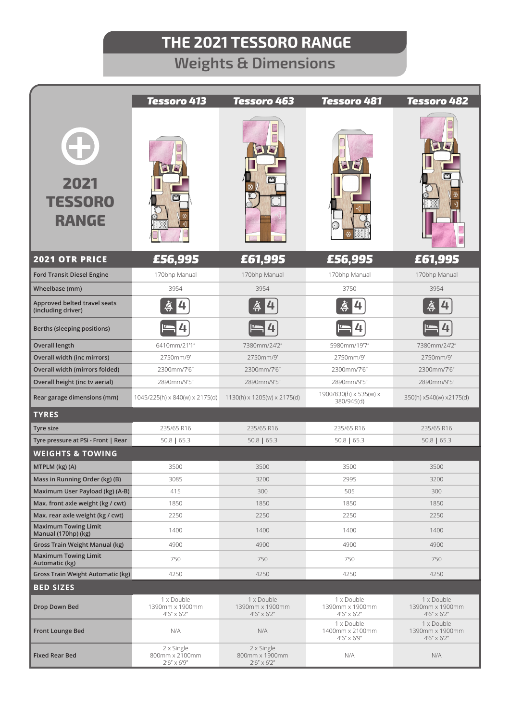## **THE 2021 TESSORO RANGE**

## **Weights & Dimensions**

|                                                                 | <b>Tessoro 413</b>                                    | <b>Tessoro 463</b>                                    | <b>Tessoro 481</b>                                    | Tessoro 482                                           |
|-----------------------------------------------------------------|-------------------------------------------------------|-------------------------------------------------------|-------------------------------------------------------|-------------------------------------------------------|
| 0<br>2021<br><b>TESSORO</b><br><b>RANGE</b>                     |                                                       |                                                       | $\boldsymbol{L}$<br>$\blacksquare$                    | $\blacksquare$                                        |
| <b>2021 OTR PRICE</b>                                           | £56,995                                               | £61,995                                               | £56,995                                               | £61,995                                               |
| <b>Ford Transit Diesel Engine</b>                               | 170bhp Manual                                         | 170bhp Manual                                         | 170bhp Manual                                         | 170bhp Manual                                         |
| Wheelbase (mm)                                                  | 3954                                                  | 3954                                                  | 3750                                                  | 3954                                                  |
| Approved belted travel seats<br>(including driver)              |                                                       |                                                       |                                                       |                                                       |
| Berths (sleeping positions)                                     |                                                       |                                                       |                                                       |                                                       |
| <b>Overall length</b>                                           | 6410mm/21'1"                                          | 7380mm/24'2"                                          | 5980mm/19'7"                                          | 7380mm/24'2"                                          |
| Overall width (inc mirrors)                                     | 2750mm/9'                                             | 2750mm/9'                                             | 2750mm/9'                                             | 2750mm/9'                                             |
| Overall width (mirrors folded)                                  | 2300mm/7'6"                                           | 2300mm/7'6"                                           | 2300mm/7'6"                                           | 2300mm/7'6"                                           |
| Overall height (inc tv aerial)                                  | 2890mm/9'5"                                           | 2890mm/9'5"                                           | 2890mm/9'5"                                           | 2890mm/9'5"                                           |
| Rear garage dimensions (mm)                                     | 1045/225(h) x 840(w) x 2175(d)                        | 1130(h) x 1205(w) x 2175(d)                           | 1900/830(h) x 535(w) x<br>380/945(d)                  | 350(h) x540(w) x2175(d)                               |
| <b>TYRES</b>                                                    |                                                       |                                                       |                                                       |                                                       |
| Tyre size                                                       | 235/65 R16                                            | 235/65 R16                                            | 235/65 R16                                            | 235/65 R16                                            |
| Tyre pressure at PSi - Front   Rear                             | $50.8$   65.3                                         | $50.8$   65.3                                         | $50.8$   65.3                                         | $50.8$   65.3                                         |
| <b>WEIGHTS &amp; TOWING</b>                                     |                                                       |                                                       |                                                       |                                                       |
| MTPLM (kg) (A)                                                  | 3500                                                  | 3500                                                  | 3500                                                  | 3500                                                  |
| Mass in Running Order (kg) (B)                                  | 3085                                                  | 3200                                                  | 2995                                                  | 3200                                                  |
| Maximum User Payload (kg) (A-B)                                 | 415                                                   | 300                                                   | 505                                                   | 300                                                   |
| Max. front axle weight (kg / cwt)                               | 1850                                                  | 1850                                                  | 1850                                                  | 1850                                                  |
| Max. rear axle weight (kg / cwt)<br><b>Maximum Towing Limit</b> | 2250                                                  | 2250                                                  | 2250                                                  | 2250                                                  |
| Manual (170hp) (kg)                                             | 1400                                                  | 1400                                                  | 1400                                                  | 1400                                                  |
| <b>Gross Train Weight Manual (kg)</b>                           | 4900                                                  | 4900                                                  | 4900                                                  | 4900                                                  |
| <b>Maximum Towing Limit</b><br>Automatic (kg)                   | 750                                                   | 750                                                   | 750                                                   | 750                                                   |
| <b>Gross Train Weight Automatic (kg)</b>                        | 4250                                                  | 4250                                                  | 4250                                                  | 4250                                                  |
| <b>BED SIZES</b>                                                |                                                       |                                                       |                                                       |                                                       |
| Drop Down Bed                                                   | 1 x Double<br>1390mm x 1900mm<br>$4'6'' \times 6'2''$ | 1 x Double<br>1390mm x 1900mm<br>$4'6'' \times 6'2''$ | 1 x Double<br>1390mm x 1900mm<br>$4'6'' \times 6'2''$ | 1 x Double<br>1390mm x 1900mm<br>$4'6'' \times 6'2''$ |
| <b>Front Lounge Bed</b>                                         | N/A                                                   | N/A                                                   | 1 x Double<br>1400mm x 2100mm<br>4'6" x 6'9"          | 1 x Double<br>1390mm x 1900mm<br>$4'6'' \times 6'2''$ |
| <b>Fixed Rear Bed</b>                                           | 2 x Single<br>800mm x 2100mm<br>$2'6'' \times 6'9''$  | 2 x Single<br>800mm x 1900mm<br>$2'6'' \times 6'2''$  | N/A                                                   | N/A                                                   |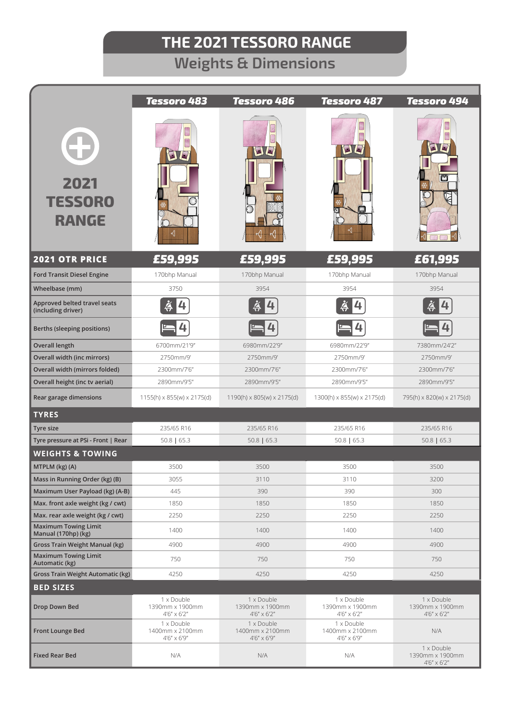# **THE 2021 TESSORO RANGE**

## **Weights & Dimensions**

|                                                                                        | <b>Tessoro 483</b>                                    | <b>Tessoro 486</b>                                    | <b>Tessoro 487</b>                                    | <b>Tessoro 494</b>                                    |
|----------------------------------------------------------------------------------------|-------------------------------------------------------|-------------------------------------------------------|-------------------------------------------------------|-------------------------------------------------------|
| ¢<br>2021<br><b>TESSORO</b><br><b>RANGE</b>                                            | SIE                                                   | OC                                                    | DC                                                    | $\overline{\phantom{a}}$                              |
| <b>2021 OTR PRICE</b>                                                                  | £59,995                                               | £59,995                                               | £59,995                                               | £61,995                                               |
| <b>Ford Transit Diesel Engine</b>                                                      | 170bhp Manual                                         | 170bhp Manual                                         | 170bhp Manual                                         | 170bhp Manual                                         |
| Wheelbase (mm)                                                                         | 3750                                                  | 3954                                                  | 3954                                                  | 3954                                                  |
| Approved belted travel seats<br>(including driver)                                     |                                                       |                                                       |                                                       |                                                       |
| Berths (sleeping positions)                                                            |                                                       |                                                       |                                                       |                                                       |
| <b>Overall length</b>                                                                  | 6700mm/21'9"                                          | 6980mm/22'9"                                          | 6980mm/22'9"                                          | 7380mm/24'2"                                          |
| Overall width (inc mirrors)                                                            | 2750mm/9'                                             | 2750mm/9'                                             | 2750mm/9'                                             | 2750mm/9'                                             |
| Overall width (mirrors folded)                                                         | 2300mm/7'6"                                           | 2300mm/7'6"                                           | 2300mm/7'6"                                           | 2300mm/7'6"                                           |
| Overall height (inc tv aerial)                                                         | 2890mm/9'5"                                           | 2890mm/9'5"                                           | 2890mm/9'5"                                           | 2890mm/9'5"                                           |
| Rear garage dimensions                                                                 | $1155(h) \times 855(w) \times 2175(d)$                | 1190(h) x 805(w) x 2175(d)                            | $1300(h) \times 855(w) \times 2175(d)$                | 795(h) x 820(w) x 2175(d)                             |
| <b>TYRES</b>                                                                           |                                                       |                                                       |                                                       |                                                       |
| Tyre size                                                                              | 235/65 R16                                            | 235/65 R16                                            | 235/65 R16                                            | 235/65 R16                                            |
| Tyre pressure at PSi - Front   Rear                                                    | $50.8$   65.3                                         | $50.8$   65.3                                         | $50.8$   65.3                                         | $50.8$   65.3                                         |
| <b>WEIGHTS &amp; TOWING</b>                                                            |                                                       |                                                       |                                                       |                                                       |
| MTPLM (kg) (A)                                                                         | 3500                                                  | 3500                                                  | 3500                                                  | 3500                                                  |
| Mass in Running Order (kg) (B)                                                         | 3055                                                  | 3110                                                  | 3110                                                  | 3200                                                  |
| Maximum User Payload (kg) (A-B)                                                        | 445                                                   | 390                                                   | 390                                                   | 300                                                   |
| Max. front axle weight (kg / cwt)                                                      | 1850                                                  | 1850                                                  | 1850                                                  | 1850                                                  |
| Max. rear axle weight (kg / cwt)<br><b>Maximum Towing Limit</b><br>Manual (170hp) (kg) | 2250<br>1400                                          | 2250<br>1400                                          | 2250<br>1400                                          | 2250<br>1400                                          |
| <b>Gross Train Weight Manual (kg)</b>                                                  | 4900                                                  | 4900                                                  | 4900                                                  | 4900                                                  |
| <b>Maximum Towing Limit</b><br>Automatic (kg)                                          | 750                                                   | 750                                                   | 750                                                   | 750                                                   |
| <b>Gross Train Weight Automatic (kg)</b>                                               | 4250                                                  | 4250                                                  | 4250                                                  | 4250                                                  |
| <b>BED SIZES</b>                                                                       |                                                       |                                                       |                                                       |                                                       |
| Drop Down Bed                                                                          | 1 x Double<br>1390mm x 1900mm<br>$4'6'' \times 6'2''$ | 1 x Double<br>1390mm x 1900mm<br>$4'6'' \times 6'2''$ | 1 x Double<br>1390mm x 1900mm<br>$4'6'' \times 6'2''$ | 1 x Double<br>1390mm x 1900mm<br>$4'6'' \times 6'2''$ |
| <b>Front Lounge Bed</b>                                                                | 1 x Double<br>1400mm x 2100mm<br>$4'6'' \times 6'9''$ | 1 x Double<br>1400mm x 2100mm<br>$4'6'' \times 6'9''$ | 1 x Double<br>1400mm x 2100mm<br>4'6" x 6'9"          | N/A                                                   |
| <b>Fixed Rear Bed</b>                                                                  | N/A                                                   | N/A                                                   | N/A                                                   | 1 x Double<br>1390mm x 1900mm<br>$4'6'' \times 6'2''$ |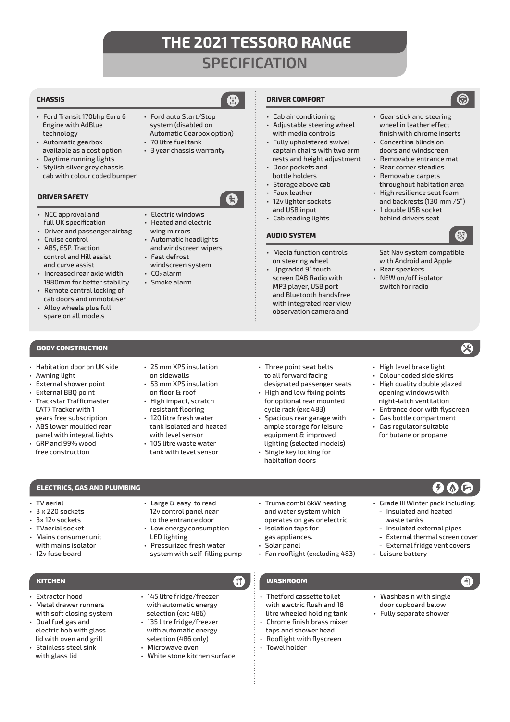## **THE 2021 TESSORO RANGE SPECIFICATION**

### **CHASSIS**

- Ford Transit 170bhp Euro 6 Engine with AdBlue technology
- Automatic gearbox available as a cost option
- Daytime running lights • Stylish silver grey chassis
- cab with colour coded bumper

### **DRIVER SAFETY**

- NCC approval and full UK specification
- Driver and passenger airbag
- Cruise control
- ABS, ESP, Traction control and Hill assist and curve assist
- Increased rear axle width 1980mm for better stability
- Remote central locking of cab doors and immobiliser
- Alloy wheels plus full spare on all models

### **BODY CONSTRUCTION**

- 
- Awning light
- External shower point
- CAT7 Tracker with 1
- years free subscription • ABS lower moulded rear
- GRP and 99% wood

• Electric windows • Heated and electric wing mirrors

• Ford auto Start/Stop system (disabled on

- Automatic headlights and windscreen wipers • Fast defrost
- windscreen system  $\cdot$  CO<sub>2</sub> alarm
- Smoke alarm

### **DRIVER COMFORT**

- Cab air conditioning • Adjustable steering wheel with media controls
- Fully upholstered swivel captain chairs with two arm rests and height adjustment
- Door pockets and bottle holders
- Storage above cab
- Faux leather
- 12v lighter sockets and USB input
- Cab reading lights

### **AUDIO SYSTEM**

- Media function controls on steering wheel
- Upgraded 9" touch screen DAB Radio with MP3 player, USB port and Bluetooth handsfree with integrated rear view observation camera and

• Gear stick and steering wheel in leather effect finish with chrome inserts

- Concertina blinds on doors and windscreen
- Removable entrance mat
- Rear corner steadies
- Removable carpets throughout habitation area
- High resilience seat foam and backrests (130 mm /5")
- 1 double USB socket behind drivers seat

 $\mathbf{\Omega}$ 

- Sat Nav system compatible with Android and Apple
- Rear speakers
- NEW on/off isolator switch for radio

- 
- Habitation door on UK side
- 
- External BBQ point
- Trackstar Trafficmaster
- panel with integral lights

**ELECTRICS, GAS AND PLUMBING**

- free construction
- 25 mm XPS insulation on sidewalls • 53 mm XPS insulation
- on floor & roof • High impact, scratch resistant flooring
- 120 litre fresh water tank isolated and heated with level sensor
- 105 litre waste water tank with level sensor

• Large & easy to read 12v control panel near

- Three point seat belts to all forward facing designated passenger seats
- High and low fixing points for optional rear mounted cycle rack (exc 483)
- Spacious rear garage with ample storage for leisure equipment & improved lighting (selected models)

• Truma combi 6kW heating and water system which operates on gas or electric

• Fan rooflight (excluding 483)

Single key locking for habitation doors

- High level brake light • Colour coded side skirts
- High quality double glazed opening windows with
- night-latch ventilation • Entrance door with flyscreen
- Gas bottle compartment
- Gas regulator suitable for butane or propane

## $\boldsymbol{\Omega} \, \boldsymbol{\Omega}$

- Grade III Winter pack including: **-** Insulated and heated
	- waste tanks **-** Insulated external pipes
	-
	- **-** External thermal screen cover
	- **-** External fridge vent covers
- Leisure battery

• Isolation taps for gas appliances. • Solar panel

- Thetford cassette toilet with electric flush and 18 litre wheeled holding tank
- Chrome finish brass mixer taps and shower head • Rooflight with flyscreen
- Towel holder
- Washbasin with single door cupboard below
- Fully separate shower
- to the entrance door • Low energy consumption LED lighting
- Pressurized fresh water system with self-filling pump

• TV aerial • 3 x 220 sockets 3x 12v sockets • TVaerial socket • Mains consumer unit with mains isolator • 12v fuse board

- Extractor hood
- Metal drawer runners with soft closing system
- Dual fuel gas and electric hob with glass lid with oven and grill
- Stainless steel sink with glass lid

### • 145 litre fridge/freezer with automatic energy **KITCHEN WASHROOM**

- selection (exc 486) • 135 litre fridge/freezer with automatic energy
- selection (486 only)
- Microwave oven
	- White stone kitchen surface

Automatic Gearbox option) • 70 litre fuel tank • 3 year chassis warranty



Ŧ